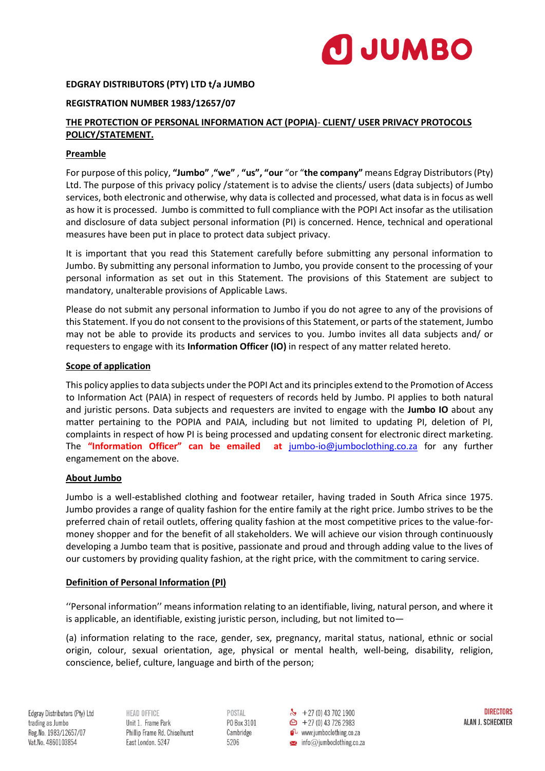

## **EDGRAY DISTRIBUTORS (PTY) LTD t/a JUMBO**

#### **REGISTRATION NUMBER 1983/12657/07**

# **THE PROTECTION OF PERSONAL INFORMATION ACT (POPIA)**- **CLIENT/ USER PRIVACY PROTOCOLS POLICY/STATEMENT.**

#### **Preamble**

For purpose of this policy, **"Jumbo"** ,**"we"** , **"us", "our** "or "**the company"** means Edgray Distributors (Pty) Ltd. The purpose of this privacy policy /statement is to advise the clients/ users (data subjects) of Jumbo services, both electronic and otherwise, why data is collected and processed, what data is in focus as well as how it is processed. Jumbo is committed to full compliance with the POPI Act insofar as the utilisation and disclosure of data subject personal information (PI) is concerned. Hence, technical and operational measures have been put in place to protect data subject privacy.

It is important that you read this Statement carefully before submitting any personal information to Jumbo. By submitting any personal information to Jumbo, you provide consent to the processing of your personal information as set out in this Statement. The provisions of this Statement are subject to mandatory, unalterable provisions of Applicable Laws.

Please do not submit any personal information to Jumbo if you do not agree to any of the provisions of this Statement. If you do not consent to the provisions of this Statement, or parts of the statement, Jumbo may not be able to provide its products and services to you. Jumbo invites all data subjects and/ or requesters to engage with its **Information Officer (IO)** in respect of any matter related hereto.

#### **Scope of application**

This policy applies to data subjects under the POPI Act and its principles extend to the Promotion of Access to Information Act (PAIA) in respect of requesters of records held by Jumbo. PI applies to both natural and juristic persons. Data subjects and requesters are invited to engage with the **Jumbo IO** about any matter pertaining to the POPIA and PAIA, including but not limited to updating PI, deletion of PI, complaints in respect of how PI is being processed and updating consent for electronic direct marketing. The **"Information Officer" can be emailed at** [jumbo-io@jumboclothing.co.za](mailto:jumbo-io@jumboclothing.co.za) for any further engamement on the above.

### **About Jumbo**

Jumbo is a well-established clothing and footwear retailer, having traded in South Africa since 1975. Jumbo provides a range of quality fashion for the entire family at the right price. Jumbo strives to be the preferred chain of retail outlets, offering quality fashion at the most competitive prices to the value-formoney shopper and for the benefit of all stakeholders. We will achieve our vision through continuously developing a Jumbo team that is positive, passionate and proud and through adding value to the lives of our customers by providing quality fashion, at the right price, with the commitment to caring service.

### **Definition of Personal Information (PI)**

''Personal information'' means information relating to an identifiable, living, natural person, and where it is applicable, an identifiable, existing juristic person, including, but not limited to—

(a) information relating to the race, gender, sex, pregnancy, marital status, national, ethnic or social origin, colour, sexual orientation, age, physical or mental health, well-being, disability, religion, conscience, belief, culture, language and birth of the person;

Edgray Distributors (Pty) Ltd trading as Jumbo Reg.No. 1983/12657/07 Vat.No. 4860103854

HEAD OFFICE Unit 1. Frame Park Phillip Frame Rd. Chiselhurst East London. 5247

POSTAL P0 Box 3101 Cambridge 5206

 $\frac{1}{2}$  + 27 (0) 43 702 1900  $\bigoplus$  + 27 (0) 43 726 2983  $\mathbf{C}$  www.jumboclothing.co.za  $\bullet$  info@jumboclothing.co.za

**DIRECTORS** ALAN J. SCHECKTER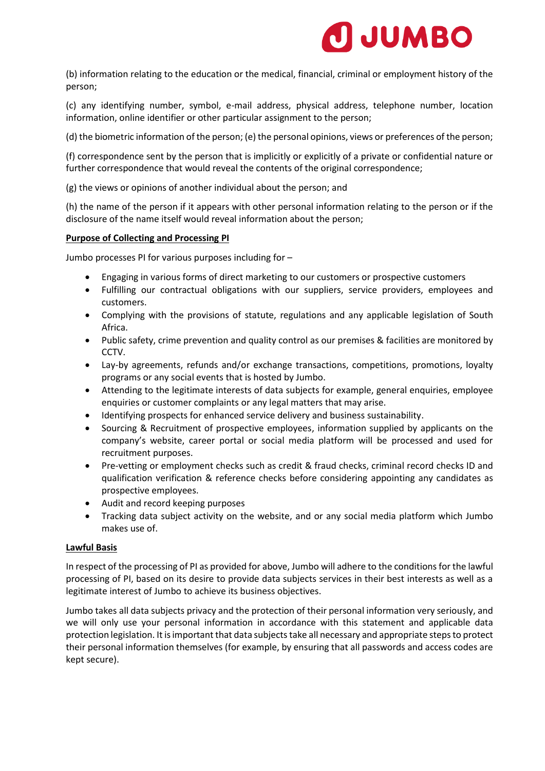

(b) information relating to the education or the medical, financial, criminal or employment history of the person;

(c) any identifying number, symbol, e-mail address, physical address, telephone number, location information, online identifier or other particular assignment to the person;

(d) the biometric information of the person; (e) the personal opinions, views or preferences of the person;

(f) correspondence sent by the person that is implicitly or explicitly of a private or confidential nature or further correspondence that would reveal the contents of the original correspondence;

(g) the views or opinions of another individual about the person; and

(h) the name of the person if it appears with other personal information relating to the person or if the disclosure of the name itself would reveal information about the person;

# **Purpose of Collecting and Processing PI**

Jumbo processes PI for various purposes including for –

- Engaging in various forms of direct marketing to our customers or prospective customers
- Fulfilling our contractual obligations with our suppliers, service providers, employees and customers.
- Complying with the provisions of statute, regulations and any applicable legislation of South Africa.
- Public safety, crime prevention and quality control as our premises & facilities are monitored by CCTV.
- Lay-by agreements, refunds and/or exchange transactions, competitions, promotions, loyalty programs or any social events that is hosted by Jumbo.
- Attending to the legitimate interests of data subjects for example, general enquiries, employee enquiries or customer complaints or any legal matters that may arise.
- Identifying prospects for enhanced service delivery and business sustainability.
- Sourcing & Recruitment of prospective employees, information supplied by applicants on the company's website, career portal or social media platform will be processed and used for recruitment purposes.
- Pre-vetting or employment checks such as credit & fraud checks, criminal record checks ID and qualification verification & reference checks before considering appointing any candidates as prospective employees.
- Audit and record keeping purposes
- Tracking data subject activity on the website, and or any social media platform which Jumbo makes use of.

### **Lawful Basis**

In respect of the processing of PI as provided for above, Jumbo will adhere to the conditions for the lawful processing of PI, based on its desire to provide data subjects services in their best interests as well as a legitimate interest of Jumbo to achieve its business objectives.

Jumbo takes all data subjects privacy and the protection of their personal information very seriously, and we will only use your personal information in accordance with this statement and applicable data protection legislation. It is important that data subjects take all necessary and appropriate steps to protect their personal information themselves (for example, by ensuring that all passwords and access codes are kept secure).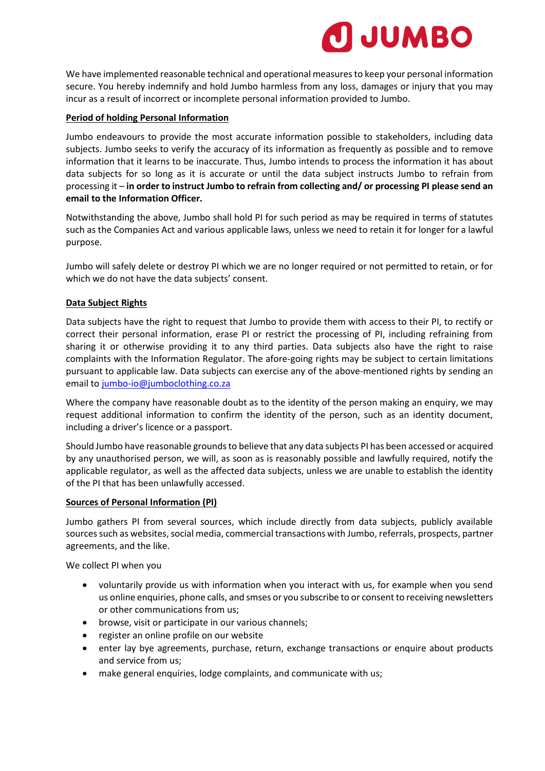

We have implemented reasonable technical and operational measures to keep your personal information secure. You hereby indemnify and hold Jumbo harmless from any loss, damages or injury that you may incur as a result of incorrect or incomplete personal information provided to Jumbo.

# **Period of holding Personal Information**

Jumbo endeavours to provide the most accurate information possible to stakeholders, including data subjects. Jumbo seeks to verify the accuracy of its information as frequently as possible and to remove information that it learns to be inaccurate. Thus, Jumbo intends to process the information it has about data subjects for so long as it is accurate or until the data subject instructs Jumbo to refrain from processing it – **in order to instruct Jumbo to refrain from collecting and/ or processing PI please send an email to the Information Officer.** 

Notwithstanding the above, Jumbo shall hold PI for such period as may be required in terms of statutes such as the Companies Act and various applicable laws, unless we need to retain it for longer for a lawful purpose.

Jumbo will safely delete or destroy PI which we are no longer required or not permitted to retain, or for which we do not have the data subjects' consent.

# **Data Subject Rights**

Data subjects have the right to request that Jumbo to provide them with access to their PI, to rectify or correct their personal information, erase PI or restrict the processing of PI, including refraining from sharing it or otherwise providing it to any third parties. Data subjects also have the right to raise complaints with the Information Regulator. The afore-going rights may be subject to certain limitations pursuant to applicable law. Data subjects can exercise any of the above-mentioned rights by sending an email to [jumbo-io@jumboclothing.co.za](mailto:jumbo-io@jumboclothing.co.za)

Where the company have reasonable doubt as to the identity of the person making an enquiry, we may request additional information to confirm the identity of the person, such as an identity document, including a driver's licence or a passport.

Should Jumbo have reasonable grounds to believe that any data subjects PI has been accessed or acquired by any unauthorised person, we will, as soon as is reasonably possible and lawfully required, notify the applicable regulator, as well as the affected data subjects, unless we are unable to establish the identity of the PI that has been unlawfully accessed.

### **Sources of Personal Information (PI)**

Jumbo gathers PI from several sources, which include directly from data subjects, publicly available sources such as websites, social media, commercial transactions with Jumbo, referrals, prospects, partner agreements, and the like.

We collect PI when you

- voluntarily provide us with information when you interact with us, for example when you send us online enquiries, phone calls, and smses or you subscribe to or consent to receiving newsletters or other communications from us;
- browse, visit or participate in our various channels;
- register an online profile on our website
- enter lay bye agreements, purchase, return, exchange transactions or enquire about products and service from us;
- make general enquiries, lodge complaints, and communicate with us;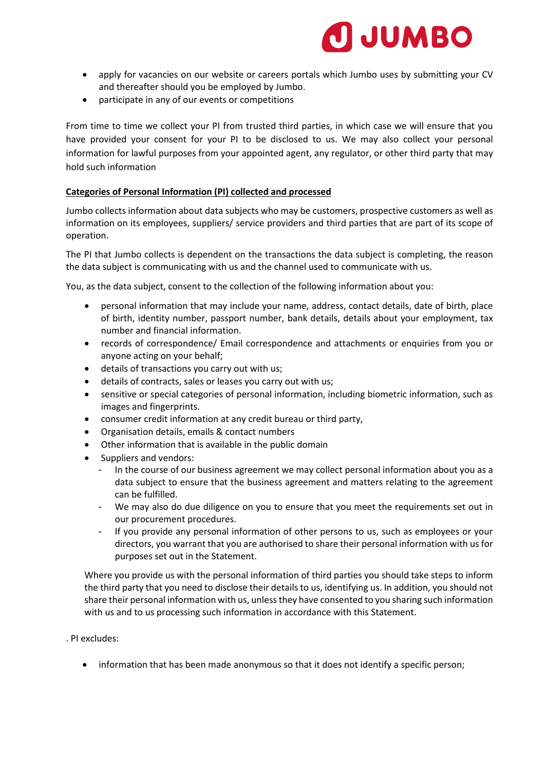

- apply for vacancies on our website or careers portals which Jumbo uses by submitting your CV and thereafter should you be employed by Jumbo.
- participate in any of our events or competitions

From time to time we collect your PI from trusted third parties, in which case we will ensure that you have provided your consent for your PI to be disclosed to us. We may also collect your personal information for lawful purposes from your appointed agent, any regulator, or other third party that may hold such information

#### **Categories of Personal Information (PI) collected and processed**

Jumbo collects information about data subjects who may be customers, prospective customers as well as information on its employees, suppliers/ service providers and third parties that are part of its scope of operation.

The PI that Jumbo collects is dependent on the transactions the data subject is completing, the reason the data subject is communicating with us and the channel used to communicate with us.

You, as the data subject, consent to the collection of the following information about you:

- personal information that may include your name, address, contact details, date of birth, place of birth, identity number, passport number, bank details, details about your employment, tax number and financial information.
- records of correspondence/ Email correspondence and attachments or enquiries from you or anyone acting on your behalf;
- details of transactions you carry out with us;
- details of contracts, sales or leases you carry out with us;
- sensitive or special categories of personal information, including biometric information, such as images and fingerprints.
- consumer credit information at any credit bureau or third party,
- Organisation details, emails & contact numbers
- Other information that is available in the public domain
- Suppliers and vendors:
	- In the course of our business agreement we may collect personal information about you as a data subject to ensure that the business agreement and matters relating to the agreement can be fulfilled.
	- We may also do due diligence on you to ensure that you meet the requirements set out in our procurement procedures.
	- If you provide any personal information of other persons to us, such as employees or your directors, you warrant that you are authorised to share their personal information with us for purposes set out in the Statement.

Where you provide us with the personal information of third parties you should take steps to inform the third party that you need to disclose their details to us, identifying us. In addition, you should not share their personal information with us, unless they have consented to you sharing such information with us and to us processing such information in accordance with this Statement.

- . PI excludes:
	- information that has been made anonymous so that it does not identify a specific person;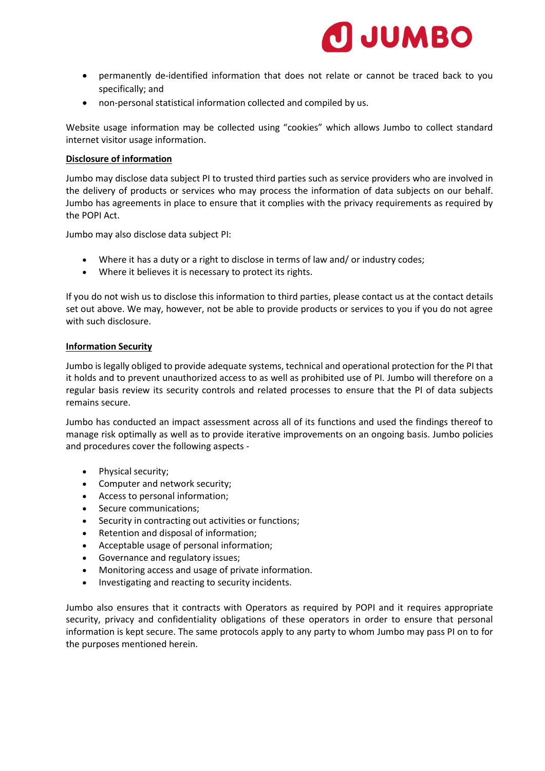

- permanently de-identified information that does not relate or cannot be traced back to you specifically; and
- non-personal statistical information collected and compiled by us.

Website usage information may be collected using "cookies" which allows Jumbo to collect standard internet visitor usage information.

### **Disclosure of information**

Jumbo may disclose data subject PI to trusted third parties such as service providers who are involved in the delivery of products or services who may process the information of data subjects on our behalf. Jumbo has agreements in place to ensure that it complies with the privacy requirements as required by the POPI Act.

Jumbo may also disclose data subject PI:

- Where it has a duty or a right to disclose in terms of law and/ or industry codes;
- Where it believes it is necessary to protect its rights.

If you do not wish us to disclose this information to third parties, please contact us at the contact details set out above. We may, however, not be able to provide products or services to you if you do not agree with such disclosure.

### **Information Security**

Jumbo is legally obliged to provide adequate systems, technical and operational protection for the PI that it holds and to prevent unauthorized access to as well as prohibited use of PI. Jumbo will therefore on a regular basis review its security controls and related processes to ensure that the PI of data subjects remains secure.

Jumbo has conducted an impact assessment across all of its functions and used the findings thereof to manage risk optimally as well as to provide iterative improvements on an ongoing basis. Jumbo policies and procedures cover the following aspects -

- Physical security;
- Computer and network security;
- Access to personal information;
- Secure communications:
- Security in contracting out activities or functions;
- Retention and disposal of information;
- Acceptable usage of personal information;
- Governance and regulatory issues;
- Monitoring access and usage of private information.
- Investigating and reacting to security incidents.

Jumbo also ensures that it contracts with Operators as required by POPI and it requires appropriate security, privacy and confidentiality obligations of these operators in order to ensure that personal information is kept secure. The same protocols apply to any party to whom Jumbo may pass PI on to for the purposes mentioned herein.